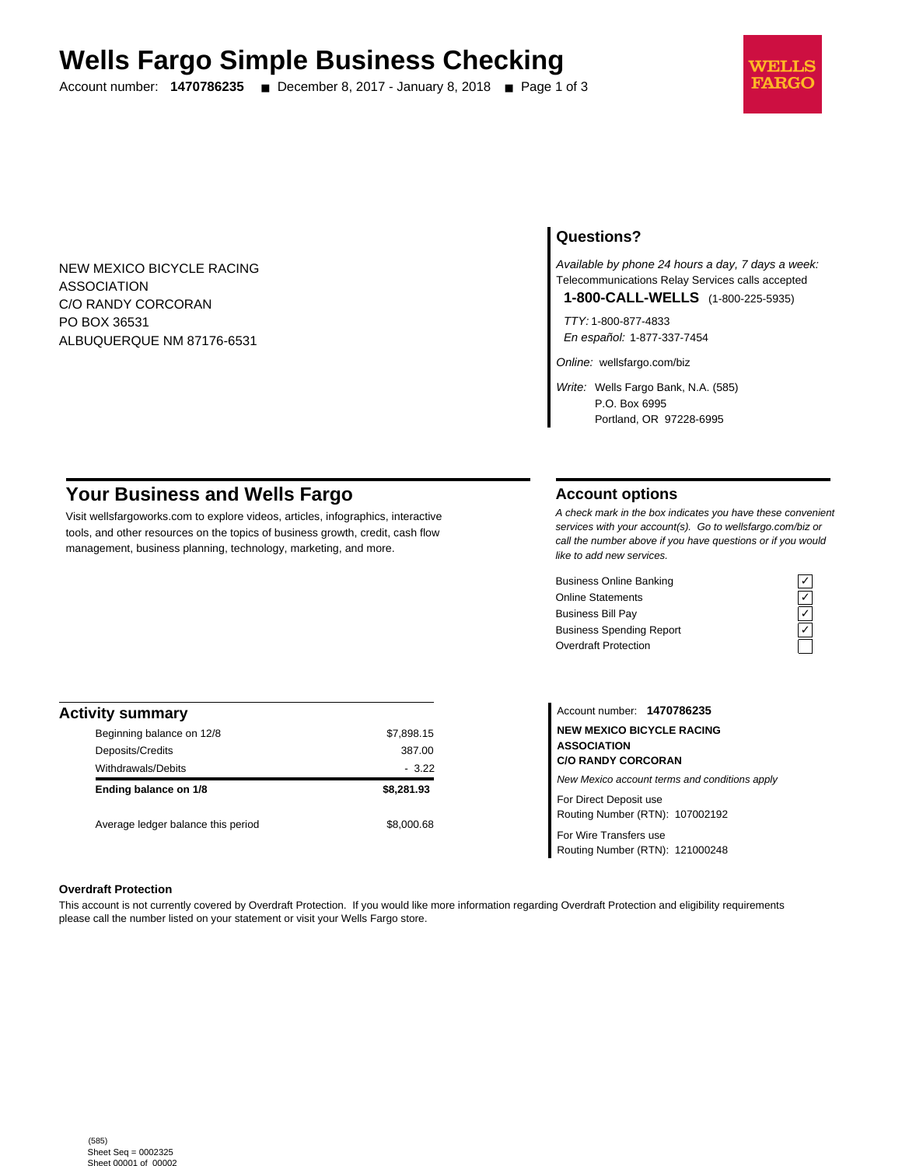# **Wells Fargo Simple Business Checking**

Account number: **1470786235** ■ December 8, 2017 - January 8, 2018 ■ Page 1 of 3



NEW MEXICO BICYCLE RACING ASSOCIATION C/O RANDY CORCORAN PO BOX 36531 ALBUQUERQUE NM 87176-6531

## **Questions?**

Available by phone 24 hours a day, 7 days a week: Telecommunications Relay Services calls accepted

**1-800-CALL-WELLS** (1-800-225-5935)

TTY: 1-800-877-4833 En español: 1-877-337-7454

Online: wellsfargo.com/biz

Write: Wells Fargo Bank, N.A. (585) P.O. Box 6995 Portland, OR 97228-6995

# **Your Business and Wells Fargo**

Visit wellsfargoworks.com to explore videos, articles, infographics, interactive tools, and other resources on the topics of business growth, credit, cash flow management, business planning, technology, marketing, and more.

## **Account options**

A check mark in the box indicates you have these convenient services with your account(s). Go to wellsfargo.com/biz or call the number above if you have questions or if you would like to add new services.

Business Online Banking<br>
Online Statements<br>
Business Bill Pay<br>
Business Spending Report<br>  $\overline{C}$ <br>
Overdraft Protection Online Statements Business Bill Pay Business Spending Report Overdraft Protection



| <b>Activity summary</b>            |            |
|------------------------------------|------------|
| Beginning balance on 12/8          | \$7,898.15 |
| Deposits/Credits                   | 387.00     |
| <b>Withdrawals/Debits</b>          | $-3.22$    |
| Ending balance on 1/8              | \$8,281.93 |
| Average ledger balance this period | \$8,000.68 |

Account number: **1470786235 NEW MEXICO BICYCLE RACING ASSOCIATION C/O RANDY CORCORAN** New Mexico account terms and conditions apply For Direct Deposit use Routing Number (RTN): 107002192

For Wire Transfers use Routing Number (RTN): 121000248

#### **Overdraft Protection**

This account is not currently covered by Overdraft Protection. If you would like more information regarding Overdraft Protection and eligibility requirements please call the number listed on your statement or visit your Wells Fargo store.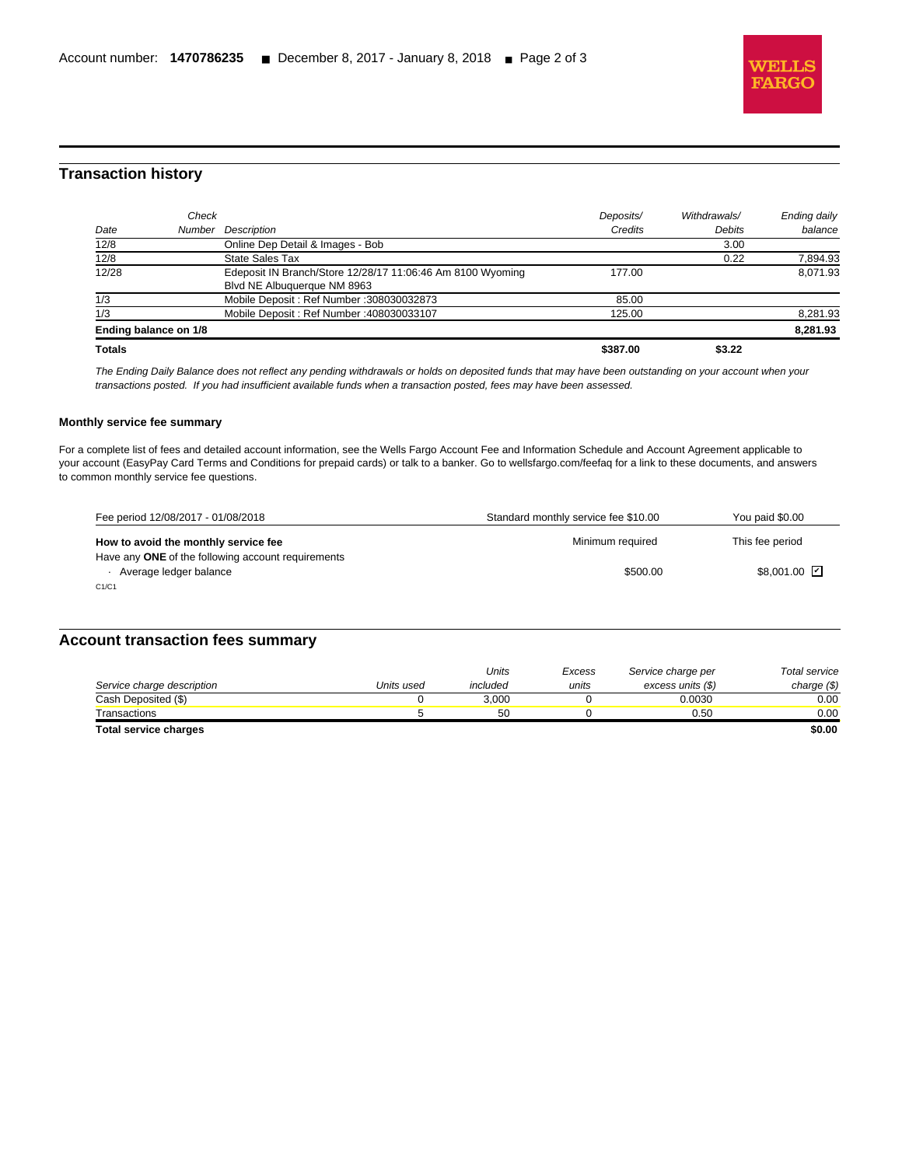

## **Transaction history**

l

| 12/28                                  | Edeposit IN Branch/Store 12/28/17 11:06:46 Am 8100 Wyoming<br>Blvd NE Albuquerque NM 8963 | 177.00          |        | 8.071.93 |
|----------------------------------------|-------------------------------------------------------------------------------------------|-----------------|--------|----------|
| 1/3<br>1/3                             | Mobile Deposit: Ref Number: 308030032873<br>Mobile Deposit: Ref Number: 408030033107      | 85.00<br>125.00 |        | 8,281.93 |
| Ending balance on 1/8<br><b>Totals</b> |                                                                                           | \$387.00        | \$3.22 | 8,281.93 |

The Ending Daily Balance does not reflect any pending withdrawals or holds on deposited funds that may have been outstanding on your account when your transactions posted. If you had insufficient available funds when a transaction posted, fees may have been assessed.

#### **Monthly service fee summary**

For a complete list of fees and detailed account information, see the Wells Fargo Account Fee and Information Schedule and Account Agreement applicable to your account (EasyPay Card Terms and Conditions for prepaid cards) or talk to a banker. Go to wellsfargo.com/feefaq for a link to these documents, and answers to common monthly service fee questions.

| Fee period 12/08/2017 - 01/08/2018                                           | Standard monthly service fee \$10.00 | You paid \$0.00            |
|------------------------------------------------------------------------------|--------------------------------------|----------------------------|
| How to avoid the monthly service fee                                         | Minimum required                     | This fee period            |
| Have any ONE of the following account requirements<br>Average ledger balance | \$500.00                             | $$8.001.00$ $\overline{V}$ |
| C1/C1                                                                        |                                      |                            |

### **Account transaction fees summary**

|                            |            | Units    | Excess | Service charge per | Total service |
|----------------------------|------------|----------|--------|--------------------|---------------|
| Service charge description | Units used | included | units  | excess units (\$)  | charge (\$)   |
| Cash Deposited (\$)        |            | 3.000    |        | 0.0030             | 0.00          |
| Transactions               |            | 50       |        | 0.50               | 0.00          |
| Total service charges      |            |          |        |                    | \$0.00        |